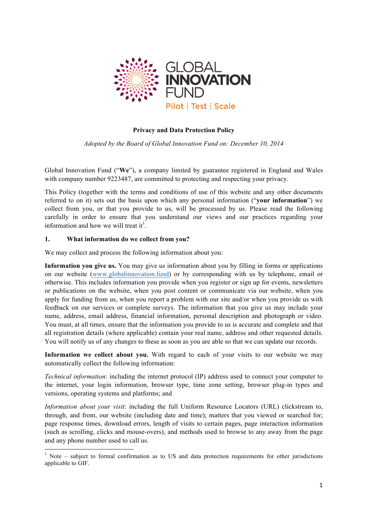

#### **Privacy and Data Protection Policy**

*Adopted by the Board of Global Innovation Fund on: December 10, 2014*

Global Innovation Fund ("**We**"), a company limited by guarantee registered in England and Wales with company number 9223487, are committed to protecting and respecting your privacy.

This Policy (together with the terms and conditions of use of this website and any other documents referred to on it) sets out the basis upon which any personal information ("**your information**") we collect from you, or that you provide to us, will be processed by us. Please read the following carefully in order to ensure that you understand our views and our practices regarding your information and how we will treat it<sup>1</sup>.

#### **1. What information do we collect from you?**

<u> 1989 - Jan Samuel Barbara, margaret e</u>

We may collect and process the following information about you:

**Information you give us.** You may give us information about you by filling in forms or applications on our website (www.globalinnovation.fund) or by corresponding with us by telephone, email or otherwise. This includes information you provide when you register or sign up for events, newsletters or publications on the website, when you post content or communicate via our website, when you apply for funding from us, when you report a problem with our site and/or when you provide us with feedback on our services or complete surveys. The information that you give us may include your name, address, email address, financial information, personal description and photograph or video. You must, at all times, ensure that the information you provide to us is accurate and complete and that all registration details (where applicable) contain your real name, address and other requested details. You will notify us of any changes to these as soon as you are able so that we can update our records.

**Information we collect about you.** With regard to each of your visits to our website we may automatically collect the following information:

*Technical information*: including the internet protocol (IP) address used to connect your computer to the internet, your login information, browser type, time zone setting, browser plug-in types and versions, operating systems and platforms; and

*Information about your visit*: including the full Uniform Resource Locators (URL) clickstream to, through, and from, our website (including date and time); matters that you viewed or searched for; page response times, download errors, length of visits to certain pages, page interaction information (such as scrolling, clicks and mouse-overs), and methods used to browse to any away from the page and any phone number used to call us.

 $1$  Note – subject to formal confirmation as to US and data protection requirements for other jurisdictions applicable to GIF.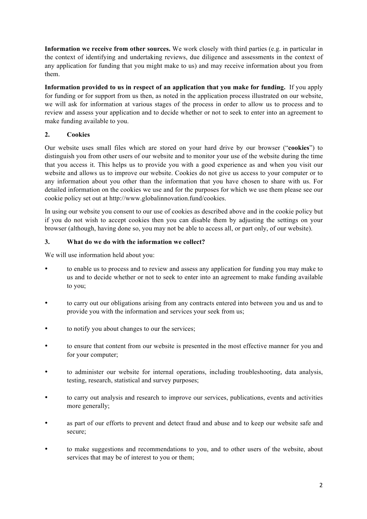**Information we receive from other sources.** We work closely with third parties (e.g. in particular in the context of identifying and undertaking reviews, due diligence and assessments in the context of any application for funding that you might make to us) and may receive information about you from them.

**Information provided to us in respect of an application that you make for funding.** If you apply for funding or for support from us then, as noted in the application process illustrated on our website, we will ask for information at various stages of the process in order to allow us to process and to review and assess your application and to decide whether or not to seek to enter into an agreement to make funding available to you.

# **2. Cookies**

Our website uses small files which are stored on your hard drive by our browser ("**cookies**") to distinguish you from other users of our website and to monitor your use of the website during the time that you access it. This helps us to provide you with a good experience as and when you visit our website and allows us to improve our website. Cookies do not give us access to your computer or to any information about you other than the information that you have chosen to share with us. For detailed information on the cookies we use and for the purposes for which we use them please see our cookie policy set out at http://www.globalinnovation.fund/cookies.

In using our website you consent to our use of cookies as described above and in the cookie policy but if you do not wish to accept cookies then you can disable them by adjusting the settings on your browser (although, having done so, you may not be able to access all, or part only, of our website).

### **3. What do we do with the information we collect?**

We will use information held about you:

- to enable us to process and to review and assess any application for funding you may make to us and to decide whether or not to seek to enter into an agreement to make funding available to you;
- to carry out our obligations arising from any contracts entered into between you and us and to provide you with the information and services your seek from us;
- to notify you about changes to our the services;
- to ensure that content from our website is presented in the most effective manner for you and for your computer;
- to administer our website for internal operations, including troubleshooting, data analysis, testing, research, statistical and survey purposes;
- to carry out analysis and research to improve our services, publications, events and activities more generally;
- as part of our efforts to prevent and detect fraud and abuse and to keep our website safe and secure;
- to make suggestions and recommendations to you, and to other users of the website, about services that may be of interest to you or them;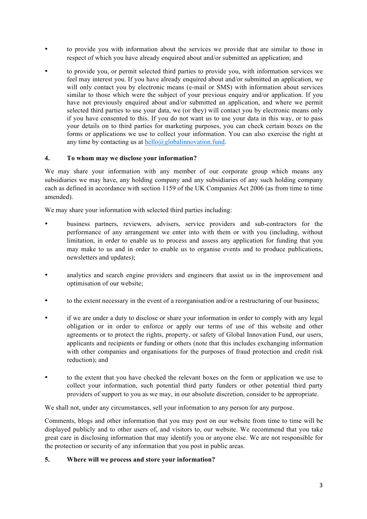- to provide you with information about the services we provide that are similar to those in respect of which you have already enquired about and/or submitted an application; and
- to provide you, or permit selected third parties to provide you, with information services we feel may interest you. If you have already enquired about and/or submitted an application, we will only contact you by electronic means (e-mail or SMS) with information about services similar to those which were the subject of your previous enquiry and/or application. If you have not previously enquired about and/or submitted an application, and where we permit selected third parties to use your data, we (or they) will contact you by electronic means only if you have consented to this. If you do not want us to use your data in this way, or to pass your details on to third parties for marketing purposes, you can check certain boxes on the forms or applications we use to collect your information. You can also exercise the right at any time by contacting us at  $\text{hello@global}$ innovation.fund.

### **4. To whom may we disclose your information?**

We may share your information with any member of our corporate group which means any subsidiaries we may have, any holding company and any subsidiaries of any such holding company each as defined in accordance with section 1159 of the UK Companies Act 2006 (as from time to time amended).

We may share your information with selected third parties including:

- business partners, reviewers, advisers, service providers and sub-contractors for the performance of any arrangement we enter into with them or with you (including, without limitation, in order to enable us to process and assess any application for funding that you may make to us and in order to enable us to organise events and to produce publications, newsletters and updates);
- analytics and search engine providers and engineers that assist us in the improvement and optimisation of our website;
- to the extent necessary in the event of a reorganisation and/or a restructuring of our business;
- if we are under a duty to disclose or share your information in order to comply with any legal obligation or in order to enforce or apply our terms of use of this website and other agreements or to protect the rights, property, or safety of Global Innovation Fund, our users, applicants and recipients or funding or others (note that this includes exchanging information with other companies and organisations for the purposes of fraud protection and credit risk reduction); and
- to the extent that you have checked the relevant boxes on the form or application we use to collect your information, such potential third party funders or other potential third party providers of support to you as we may, in our absolute discretion, consider to be appropriate.

We shall not, under any circumstances, sell your information to any person for any purpose.

Comments, blogs and other information that you may post on our website from time to time will be displayed publicly and to other users of, and visitors to, our website. We recommend that you take great care in disclosing information that may identify you or anyone else. We are not responsible for the protection or security of any information that you post in public areas.

### **5. Where will we process and store your information?**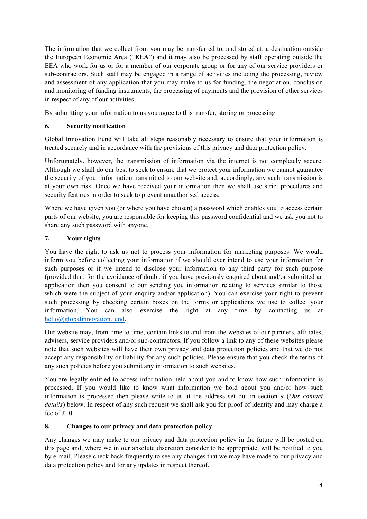The information that we collect from you may be transferred to, and stored at, a destination outside the European Economic Area ("**EEA**") and it may also be processed by staff operating outside the EEA who work for us or for a member of our corporate group or for any of our service providers or sub-contractors. Such staff may be engaged in a range of activities including the processing, review and assessment of any application that you may make to us for funding, the negotiation, conclusion and monitoring of funding instruments, the processing of payments and the provision of other services in respect of any of our activities.

By submitting your information to us you agree to this transfer, storing or processing.

## **6. Security notification**

Global Innovation Fund will take all steps reasonably necessary to ensure that your information is treated securely and in accordance with the provisions of this privacy and data protection policy.

Unfortunately, however, the transmission of information via the internet is not completely secure. Although we shall do our best to seek to ensure that we protect your information we cannot guarantee the security of your information transmitted to our website and, accordingly, any such transmission is at your own risk. Once we have received your information then we shall use strict procedures and security features in order to seek to prevent unauthorised access.

Where we have given you (or where you have chosen) a password which enables you to access certain parts of our website, you are responsible for keeping this password confidential and we ask you not to share any such password with anyone.

# **7. Your rights**

You have the right to ask us not to process your information for marketing purposes. We would inform you before collecting your information if we should ever intend to use your information for such purposes or if we intend to disclose your information to any third party for such purpose (provided that, for the avoidance of doubt, if you have previously enquired about and/or submitted an application then you consent to our sending you information relating to services similar to those which were the subject of your enquiry and/or application). You can exercise your right to prevent such processing by checking certain boxes on the forms or applications we use to collect your information. You can also exercise the right at any time by contacting us at hello@globalinnovation.fund.

Our website may, from time to time, contain links to and from the websites of our partners, affiliates, advisers, service providers and/or sub-contractors. If you follow a link to any of these websites please note that such websites will have their own privacy and data protection policies and that we do not accept any responsibility or liability for any such policies. Please ensure that you check the terms of any such policies before you submit any information to such websites.

You are legally entitled to access information held about you and to know how such information is processed. If you would like to know what information we hold about you and/or how such information is processed then please write to us at the address set out in section 9 (*Our contact details*) below. In respect of any such request we shall ask you for proof of identity and may charge a fee of £10.

### **8. Changes to our privacy and data protection policy**

Any changes we may make to our privacy and data protection policy in the future will be posted on this page and, where we in our absolute discretion consider to be appropriate, will be notified to you by e-mail. Please check back frequently to see any changes that we may have made to our privacy and data protection policy and for any updates in respect thereof.